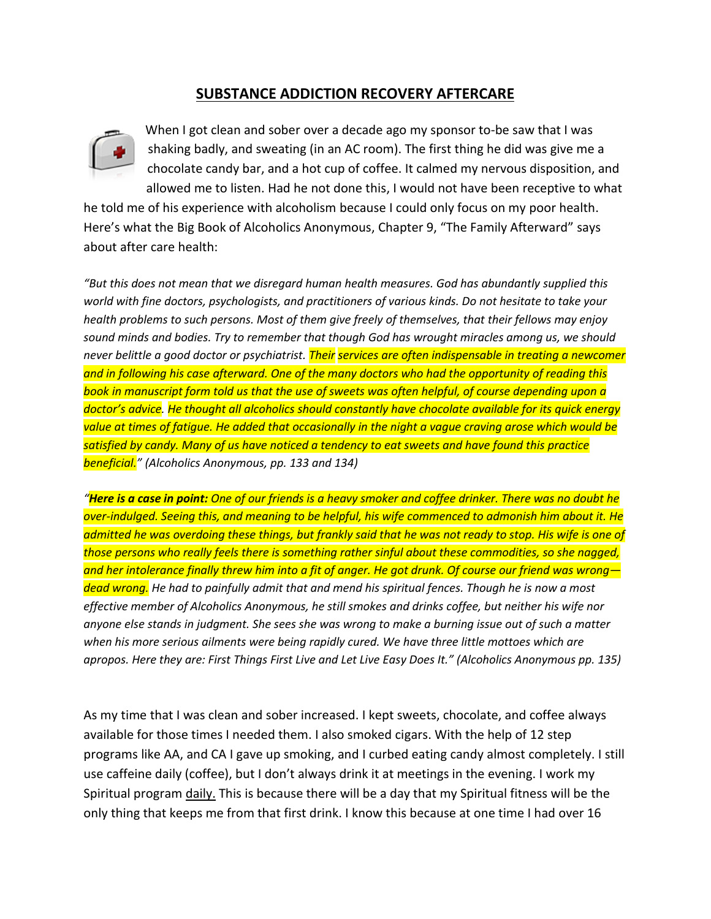## **SUBSTANCE ADDICTION RECOVERY AFTERCARE**



When I got clean and sober over a decade ago my sponsor to-be saw that I was shaking badly, and sweating (in an AC room). The first thing he did was give me a chocolate candy bar, and a hot cup of coffee. It calmed my nervous disposition, and allowed me to listen. Had he not done this, I would not have been receptive to what

he told me of his experience with alcoholism because I could only focus on my poor health. Here's what the Big Book of Alcoholics Anonymous, Chapter 9, "The Family Afterward" says about after care health:

*"But this does not mean that we disregard human health measures. God has abundantly supplied this world with fine doctors, psychologists, and practitioners of various kinds. Do not hesitate to take your health problems to such persons. Most of them give freely of themselves, that their fellows may enjoy sound minds and bodies. Try to remember that though God has wrought miracles among us, we should never belittle a good doctor or psychiatrist. Their services are often indispensable in treating a newcomer and in following his case afterward. One of the many doctors who had the opportunity of reading this book in manuscript form told us that the use of sweets was often helpful, of course depending upon a doctor's advice. He thought all alcoholics should constantly have chocolate available for its quick energy value at times of fatigue. He added that occasionally in the night a vague craving arose which would be satisfied by candy. Many of us have noticed a tendency to eat sweets and have found this practice beneficial." (Alcoholics Anonymous, pp. 133 and 134)*

*"Here is a case in point: One of our friends is a heavy smoker and coffee drinker. There was no doubt he over-indulged. Seeing this, and meaning to be helpful, his wife commenced to admonish him about it. He admitted he was overdoing these things, but frankly said that he was not ready to stop. His wife is one of those persons who really feels there is something rather sinful about these commodities, so she nagged, and her intolerance finally threw him into a fit of anger. He got drunk. Of course our friend was wrong dead wrong. He had to painfully admit that and mend his spiritual fences. Though he is now a most effective member of Alcoholics Anonymous, he still smokes and drinks coffee, but neither his wife nor anyone else stands in judgment. She sees she was wrong to make a burning issue out of such a matter when his more serious ailments were being rapidly cured. We have three little mottoes which are apropos. Here they are: First Things First Live and Let Live Easy Does It." (Alcoholics Anonymous pp. 135)*

As my time that I was clean and sober increased. I kept sweets, chocolate, and coffee always available for those times I needed them. I also smoked cigars. With the help of 12 step programs like AA, and CA I gave up smoking, and I curbed eating candy almost completely. I still use caffeine daily (coffee), but I don't always drink it at meetings in the evening. I work my Spiritual program daily. This is because there will be a day that my Spiritual fitness will be the only thing that keeps me from that first drink. I know this because at one time I had over 16